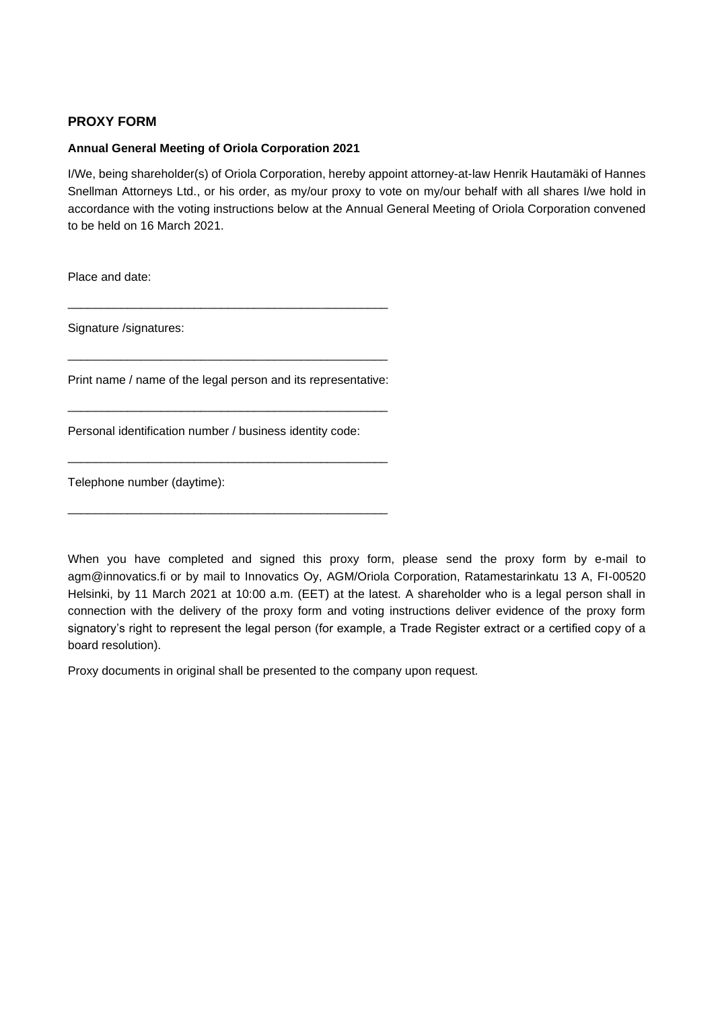## **PROXY FORM**

## **Annual General Meeting of Oriola Corporation 2021**

I/We, being shareholder(s) of Oriola Corporation, hereby appoint attorney-at-law Henrik Hautamäki of Hannes Snellman Attorneys Ltd., or his order, as my/our proxy to vote on my/our behalf with all shares I/we hold in accordance with the voting instructions below at the Annual General Meeting of Oriola Corporation convened to be held on 16 March 2021.

Place and date:

Signature /signatures:

Print name / name of the legal person and its representative:

\_\_\_\_\_\_\_\_\_\_\_\_\_\_\_\_\_\_\_\_\_\_\_\_\_\_\_\_\_\_\_\_\_\_\_\_\_\_\_\_\_\_\_\_\_\_\_\_

\_\_\_\_\_\_\_\_\_\_\_\_\_\_\_\_\_\_\_\_\_\_\_\_\_\_\_\_\_\_\_\_\_\_\_\_\_\_\_\_\_\_\_\_\_\_\_\_

\_\_\_\_\_\_\_\_\_\_\_\_\_\_\_\_\_\_\_\_\_\_\_\_\_\_\_\_\_\_\_\_\_\_\_\_\_\_\_\_\_\_\_\_\_\_\_\_

\_\_\_\_\_\_\_\_\_\_\_\_\_\_\_\_\_\_\_\_\_\_\_\_\_\_\_\_\_\_\_\_\_\_\_\_\_\_\_\_\_\_\_\_\_\_\_\_

\_\_\_\_\_\_\_\_\_\_\_\_\_\_\_\_\_\_\_\_\_\_\_\_\_\_\_\_\_\_\_\_\_\_\_\_\_\_\_\_\_\_\_\_\_\_\_\_

Personal identification number / business identity code:

Telephone number (daytime):

When you have completed and signed this proxy form, please send the proxy form by e-mail to agm@innovatics.fi or by mail to Innovatics Oy, AGM/Oriola Corporation, Ratamestarinkatu 13 A, FI-00520 Helsinki, by 11 March 2021 at 10:00 a.m. (EET) at the latest. A shareholder who is a legal person shall in connection with the delivery of the proxy form and voting instructions deliver evidence of the proxy form signatory's right to represent the legal person (for example, a Trade Register extract or a certified copy of a board resolution).

Proxy documents in original shall be presented to the company upon request.